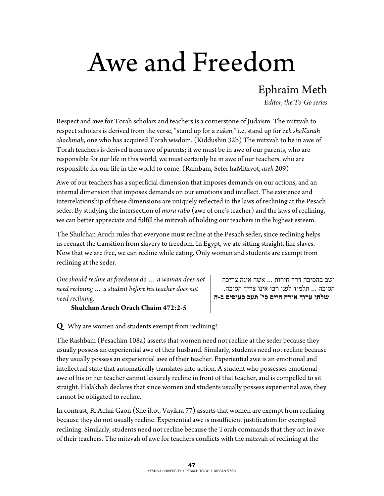## Awe and Freedom

Ephraim Meth

*Editor, the To-Go series* 

Respect and awe for Torah scholars and teachers is a cornerstone of Judaism. The mitzvah to respect scholars is derived from the verse, "stand up for a *zaken*," i.e. stand up for *zeh sheKanah chochmah*, one who has acquired Torah wisdom. (Kiddushin 32b) The mitzvah to be in awe of Torah teachers is derived from awe of parents; if we must be in awe of our parents, who are responsible for our life in this world, we must certainly be in awe of our teachers, who are responsible for our life in the world to come. (Rambam, Sefer haMitzvot, *aseh* 209)

Awe of our teachers has a superficial dimension that imposes demands on our actions, and an internal dimension that imposes demands on our emotions and intellect. The existence and interrelationship of these dimensions are uniquely reflected in the laws of reclining at the Pesach seder. By studying the intersection of *mora rabo* (awe of one's teacher) and the laws of reclining, we can better appreciate and fulfill the mitzvah of holding our teachers in the highest esteem.

The Shulchan Aruch rules that everyone must recline at the Pesach seder, since reclining helps us reenact the transition from slavery to freedom. In Egypt, we ate sitting straight, like slaves. Now that we are free, we can recline while eating. Only women and students are exempt from reclining at the seder.

*One should recline as freedmen do … a woman does not need reclining … a student before his teacher does not need reclining.* 

## **Shulchan Aruch Orach Chaim 472:2-5**

ישב בהסיבה דרך חירות ... אשה אינה צריכה הסיבה ... תלמיד לפני רבו אינו צריך הסיבה.  **שלחן ערוך אורח חיים סי' תעב סעיפים ב-ה**

**Q** Why are women and students exempt from reclining?

The Rashbam (Pesachim 108a) asserts that women need not recline at the seder because they usually possess an experiential awe of their husband. Similarly, students need not recline because they usually possess an experiential awe of their teacher. Experiential awe is an emotional and intellectual state that automatically translates into action. A student who possesses emotional awe of his or her teacher cannot leisurely recline in front of that teacher, and is compelled to sit straight. Halakhah declares that since women and students usually possess experiential awe, they cannot be obligated to recline.

In contrast, R. Achai Gaon (She'iltot, Vayikra 77) asserts that women are exempt from reclining because they do not usually recline. Experiential awe is insufficient justification for exempted reclining. Similarly, students need not recline because the Torah commands that they act in awe of their teachers. The mitzvah of awe for teachers conflicts with the mitzvah of reclining at the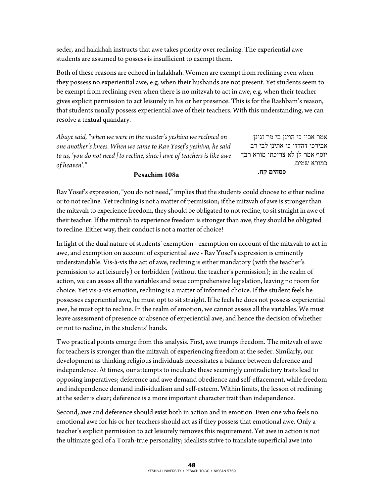seder, and halakhah instructs that awe takes priority over reclining. The experiential awe students are assumed to possess is insufficient to exempt them.

Both of these reasons are echoed in halakhah. Women are exempt from reclining even when they possess no experiential awe, e.g. when their husbands are not present. Yet students seem to be exempt from reclining even when there is no mitzvah to act in awe, e.g. when their teacher gives explicit permission to act leisurely in his or her presence. This is for the Rashbam's reason, that students usually possess experiential awe of their teachers. With this understanding, we can resolve a textual quandary.

*Abaye said, "when we were in the master's yeshiva we reclined on one another's knees. When we came to Rav Yosef's yeshiva, he said to us, 'you do not need [to recline, since] awe of teachers is like awe of heaven'."* 

אמר אביי כי הוינן בי מר זגינן אבירכי דהדדי כי אתינן לבי רב יוסף אמר לן לא צריכתו מורא רבך כמורא שמים.  **פסחים קח.**

## **Pesachim 108a**

Rav Yosef's expression, "you do not need," implies that the students could choose to either recline or to not recline. Yet reclining is not a matter of permission; if the mitzvah of awe is stronger than the mitzvah to experience freedom, they should be obligated to not recline, to sit straight in awe of their teacher. If the mitzvah to experience freedom is stronger than awe, they should be obligated to recline. Either way, their conduct is not a matter of choice!

In light of the dual nature of students' exemption - exemption on account of the mitzvah to act in awe, and exemption on account of experiential awe - Rav Yosef's expression is eminently understandable. Vis-à-vis the act of awe, reclining is either mandatory (with the teacher's permission to act leisurely) or forbidden (without the teacher's permission); in the realm of action, we can assess all the variables and issue comprehensive legislation, leaving no room for choice. Yet vis-à-vis emotion, reclining is a matter of informed choice. If the student feels he possesses experiential awe, he must opt to sit straight. If he feels he does not possess experiential awe, he must opt to recline. In the realm of emotion, we cannot assess all the variables. We must leave assessment of presence or absence of experiential awe, and hence the decision of whether or not to recline, in the students' hands.

Two practical points emerge from this analysis. First, awe trumps freedom. The mitzvah of awe for teachers is stronger than the mitzvah of experiencing freedom at the seder. Similarly, our development as thinking religious individuals necessitates a balance between deference and independence. At times, our attempts to inculcate these seemingly contradictory traits lead to opposing imperatives; deference and awe demand obedience and self-effacement, while freedom and independence demand individualism and self-esteem. Within limits, the lesson of reclining at the seder is clear; deference is a more important character trait than independence.

Second, awe and deference should exist both in action and in emotion. Even one who feels no emotional awe for his or her teachers should act as if they possess that emotional awe. Only a teacher's explicit permission to act leisurely removes this requirement. Yet awe in action is not the ultimate goal of a Torah-true personality; idealists strive to translate superficial awe into